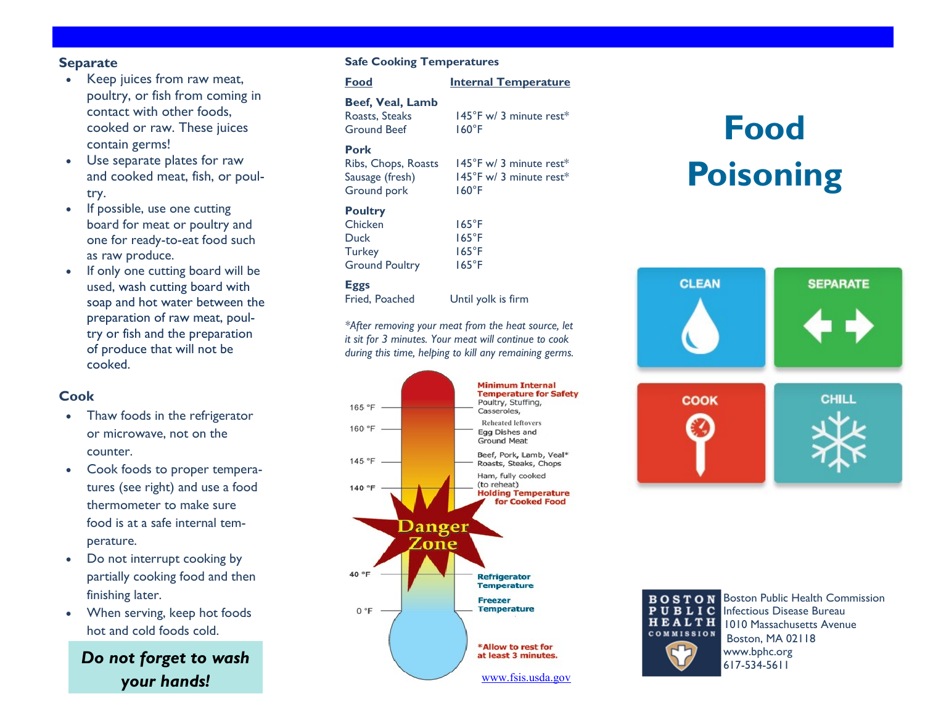### **Separate**

- Keep juices from raw meat, poultry, or fish from coming in contact with other foods, cooked or raw. These juices contain germs!
- Use separate plates for raw and cooked meat, fish, or poultry.
- If possible, use one cutting board for meat or poultry and one for ready -to -eat food such as raw produce.
- If only one cutting board will be used, wash cutting board with soap and hot water between the preparation of raw meat, poultry or fish and the preparation of produce that will not be cooked.

### **Cook**

- Thaw foods in the refrigerator or microwave, not on the counter.
- Cook foods to proper temperatures (see right) and use a food thermometer to make sure food is at a safe internal temperature.
- Do not interrupt cooking by partially cooking food and then finishing later.
- When serving, keep hot foods hot and cold foods cold.

*Do not forget to wash your hands!*

### **Safe Cooking Temperatures**

| Food                                                                        |                     |                                                                          | <b>Internal Temperature</b>                                            |
|-----------------------------------------------------------------------------|---------------------|--------------------------------------------------------------------------|------------------------------------------------------------------------|
| Roasts, Steaks<br><b>Ground Beef</b>                                        | Beef, Veal, Lamb    | $160^{\circ}$ F                                                          | $145^{\circ}$ F w/ 3 minute rest*                                      |
| Pork<br>Sausage (fresh)<br>Ground pork                                      | Ribs, Chops, Roasts | $160^{\circ}$ F                                                          | $145^{\circ}$ F w/ 3 minute rest*<br>$145^{\circ}$ F w/ 3 minute rest* |
| <b>Poultry</b><br>Chicken<br>Duck<br><b>Turkey</b><br><b>Ground Poultry</b> |                     | $165^{\circ}$ F<br>$165^{\circ}$ F<br>$165^{\circ}$ F<br>$165^{\circ}$ F |                                                                        |

### **Eggs**

Fried, Poached Until yolk is firm

*\*After removing your meat from the heat source, let it sit for 3 minutes. Your meat will continue to cook during this time, helping to kill any remaining germs.*



# **Food Poisoning**